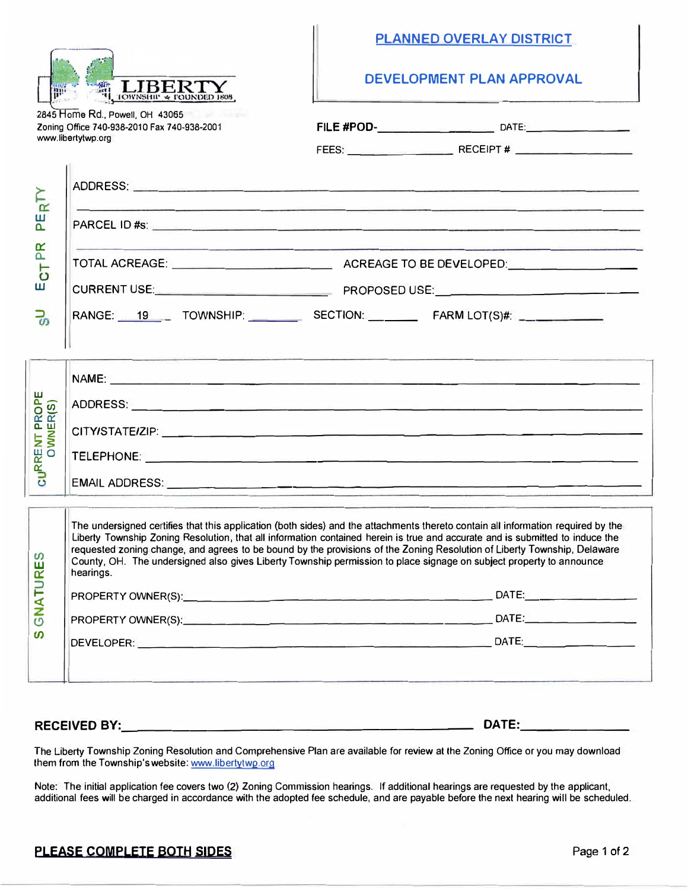

## **PLANNED OVERLAY DISTRICT**

**DEVELOPMENT PLAN APPROVAL** 

| 2845 Home Rd., Powell, OH 43065             |
|---------------------------------------------|
| Zoning Office 740-938-2010 Fax 740-938-2001 |
| www.libertytwp.org                          |

�

w a.

a:: a.

w

**::>** 

**NT PROPE**<br>WNER(S)

**WO a:: a::** 

*en*  **w a::** 

| 111011011, 1000011, 011110000<br>Office 740-938-2010 Fax 740-938-2001                                                                                                                                                                                                                                                                                                                         |  |                                                                                                                           |  |  |  |
|-----------------------------------------------------------------------------------------------------------------------------------------------------------------------------------------------------------------------------------------------------------------------------------------------------------------------------------------------------------------------------------------------|--|---------------------------------------------------------------------------------------------------------------------------|--|--|--|
| prtytwp.org                                                                                                                                                                                                                                                                                                                                                                                   |  |                                                                                                                           |  |  |  |
|                                                                                                                                                                                                                                                                                                                                                                                               |  |                                                                                                                           |  |  |  |
|                                                                                                                                                                                                                                                                                                                                                                                               |  | <u> 1989 - Andrea Santana e Santana a Santana a Canada a Canada a Canada a Canada a Canada a Canada a Canada a C</u>      |  |  |  |
|                                                                                                                                                                                                                                                                                                                                                                                               |  | <u> 1980 - Johann Stoff, Amerikaansk politiker († 1908)</u>                                                               |  |  |  |
|                                                                                                                                                                                                                                                                                                                                                                                               |  |                                                                                                                           |  |  |  |
| RANGE: 19 TOWNSHIP: SECTION: FARM LOT(S)#: _                                                                                                                                                                                                                                                                                                                                                  |  |                                                                                                                           |  |  |  |
|                                                                                                                                                                                                                                                                                                                                                                                               |  | <u> Thursday and the second theory of the second control of the second control of the second control of the second</u>    |  |  |  |
|                                                                                                                                                                                                                                                                                                                                                                                               |  |                                                                                                                           |  |  |  |
|                                                                                                                                                                                                                                                                                                                                                                                               |  |                                                                                                                           |  |  |  |
|                                                                                                                                                                                                                                                                                                                                                                                               |  |                                                                                                                           |  |  |  |
|                                                                                                                                                                                                                                                                                                                                                                                               |  |                                                                                                                           |  |  |  |
| The undersigned certifies that this application (both sides) and the attachments thereto contain all information required by the<br>Liberty Township Zoning Resolution, that all information contained herein is true and accurate and is submitted to induce the<br>requested zoning change, and agrees to be bound by the provisions of the Zoning Resolution of Liberty Township, Delaware |  | <u> 1980 - Albinianus Capitalis VIII (1980 - 1980 - 1980 - 1981 - 1981 - 1981 - 1981 - 1982 - 1983 - 1983 - 1983 - 19</u> |  |  |  |

**::> 1- <2: z**  ပ  $\boldsymbol{\omega}$ PROPERTYOWNER(S): \_\_\_\_\_\_\_\_\_\_\_\_\_\_\_\_\_\_\_\_\_ DATE: \_\_\_\_\_\_\_ \_ PROPERTYOWNER(S): \_\_\_\_\_\_\_\_\_\_\_\_\_\_\_\_\_\_\_\_\_ DATE: \_\_\_\_\_\_\_ \_ DEVELOPER: \_\_\_\_\_\_\_\_\_\_\_\_\_\_\_\_\_\_\_\_\_\_\_\_\_\_ DATE: \_\_\_\_\_\_\_ \_

County, OH. The undersigned also gives Liberty Township permission to place signage on subject property to announce

## **RECEIVED BY: \_\_\_\_\_\_\_\_\_\_\_\_\_\_\_\_\_\_\_ \_ DATE: \_\_\_\_\_\_ \_**

hearings.

The Liberty Township Zoning Resolution and Comprehensive Plan are available for review at lhe Zoning Office or you may download them from the Township's website: www.libertytwp.org

Note: The initial application fee covers two (2) Zoning Commission hearings. If additional hearings are requested by the applicant, additional fees **will** be charged in accordance with the adopted fee schedule, and are payable before the next hearing will be scheduled.

## **PLEASE COMPLETE BOTH SIDES PAGE 1012 Page 1 of 2**